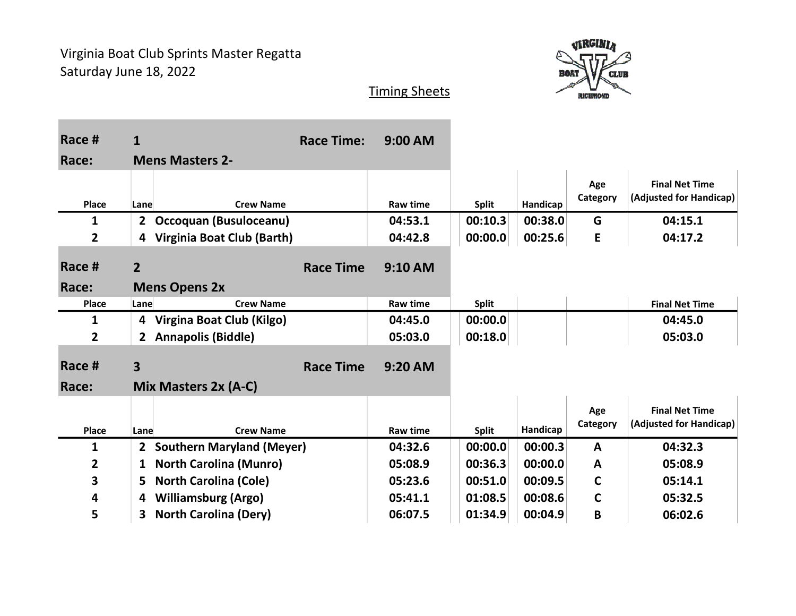

| Race #          | $\mathbf{1}$                                     | <b>Race Time:</b> | 9:00 AM         |              |          |                 |                                                  |
|-----------------|--------------------------------------------------|-------------------|-----------------|--------------|----------|-----------------|--------------------------------------------------|
| Race:           | <b>Mens Masters 2-</b>                           |                   |                 |              |          |                 |                                                  |
|                 |                                                  |                   |                 |              |          | Age<br>Category | <b>Final Net Time</b><br>(Adjusted for Handicap) |
| Place           | <b>Crew Name</b><br>Lane                         |                   | <b>Raw time</b> | <b>Split</b> | Handicap |                 |                                                  |
| 1               | Occoquan (Busuloceanu)<br>$\mathbf{2}$           |                   | 04:53.1         | 00:10.3      | 00:38.0  | G               | 04:15.1                                          |
| $\overline{2}$  | Virginia Boat Club (Barth)<br>4                  |                   | 04:42.8         | 00:00.0      | 00:25.6  | E               | 04:17.2                                          |
| Race #<br>Race: | 2 <sup>2</sup><br><b>Mens Opens 2x</b>           | <b>Race Time</b>  | 9:10 AM         |              |          |                 |                                                  |
| Place           | Lane<br><b>Crew Name</b>                         |                   | <b>Raw time</b> | <b>Split</b> |          |                 | <b>Final Net Time</b>                            |
| 1               | 4 Virgina Boat Club (Kilgo)                      |                   | 04:45.0         | 00:00.0      |          |                 | 04:45.0                                          |
| $\overline{2}$  | <b>Annapolis (Biddle)</b><br>$\mathbf{2}$        |                   | 05:03.0         | 00:18.0      |          |                 | 05:03.0                                          |
| Race #<br>Race: | $\overline{\mathbf{3}}$<br>Mix Masters 2x (A-C)  | <b>Race Time</b>  | 9:20 AM         |              |          |                 |                                                  |
|                 |                                                  |                   |                 |              |          |                 |                                                  |
| Place           | Lane<br><b>Crew Name</b>                         |                   | <b>Raw time</b> | <b>Split</b> | Handicap | Age<br>Category | <b>Final Net Time</b><br>(Adjusted for Handicap) |
| 1               | <b>Southern Maryland (Meyer)</b><br>$\mathbf{2}$ |                   | 04:32.6         | 00:00.0      | 00:00.3  | $\mathbf{A}$    | 04:32.3                                          |
| $\overline{2}$  | <b>North Carolina (Munro)</b><br>$\mathbf{1}$    |                   | 05:08.9         | 00:36.3      | 00:00.0  | A               | 05:08.9                                          |
| 3               | <b>North Carolina (Cole)</b><br>5.               |                   | 05:23.6         | 00:51.0      | 00:09.5  | C               | 05:14.1                                          |
| 4               | <b>Williamsburg (Argo)</b><br>4                  |                   | 05:41.1         | 01:08.5      | 00:08.6  | C               | 05:32.5                                          |
| 5               | <b>North Carolina (Dery)</b><br>3                |                   | 06:07.5         | 01:34.9      | 00:04.9  | B               | 06:02.6                                          |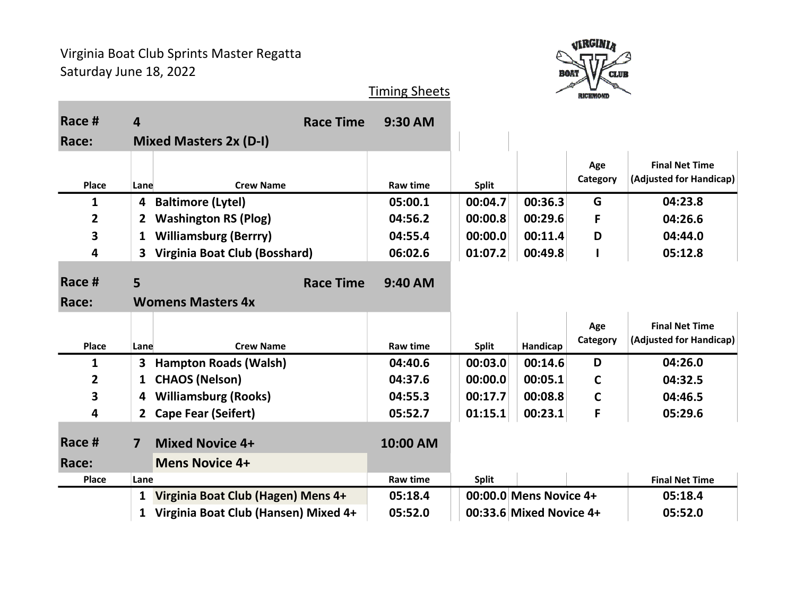

### Race # 4 Apr 2012 1 Race Time 9:30 AM Race: Mixed Masters 2x (D-I) Place Lane Crew Name Raw time Split Age **Category** Final Net Time (Adjusted for Handicap) 1 4 Baltimore (Lytel) 05:00.1 00:04.7 00:36.3 G 04:23.8 2 2 Washington RS (Plog) 04:56.2 00:00.8 00:29.6 F 04:26.6 3 1 Williamsburg (Berrry) 04:55.4 00:00.0 00:11.4 D 04:44.0 4 3 Virginia Boat Club (Bosshard) 06:02.6 01:07.2 00:49.8 I 05:12.8 Race # 5 Race Time 9:40 AM Race: Womens Masters 4x Place Lane Crew Name Raw time Split Handicap Age **Category** Final Net Time (Adjusted for Handicap) 1 3 Hampton Roads (Walsh) 04:40.6 00:03.0 00:14.6 D 04:26.0 2 1 CHAOS (Nelson) 04:37.6 00:00.0 00:05.1 C 04:32.5 3 4 Williamsburg (Rooks) 04:55.3 00:17.7 00:08.8 C 04:46.5 4 2 Cape Fear (Seifert) 05:52.7 01:15.1 00:23.1 F 05:29.6 Race # 7 Mixed Novice 4+ 10:00 AM Race: Mens Novice 4+ Place Lane **Raw time Split Final Net Time** Raw time Split Final Net Time Raw time Split Raw time Split Raw time 1 Virginia Boat Club (Hagen) Mens 4+ 05:18.4 00:00.0 Mens Novice 4+ 05:18.4 1 Virginia Boat Club (Hansen) Mixed 4+ 05:52.0 00:33.6 Mixed Novice 4+ 05:52.0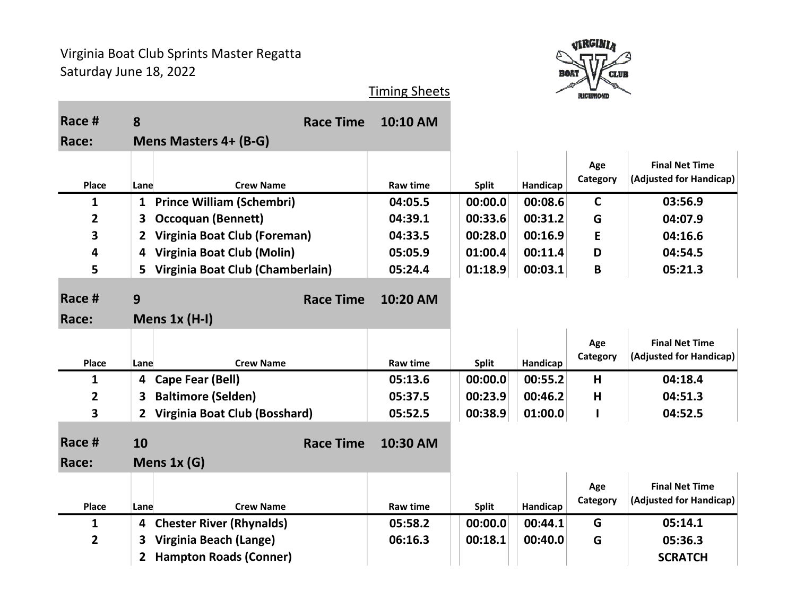

|                |                                |                                  | <b>Timing Sheets</b> |              |          | <b>RICHMOND</b> |                         |
|----------------|--------------------------------|----------------------------------|----------------------|--------------|----------|-----------------|-------------------------|
| Race #         | 8                              | <b>Race Time</b>                 | 10:10 AM             |              |          |                 |                         |
| Race:          | Mens Masters 4+ (B-G)          |                                  |                      |              |          |                 |                         |
|                |                                |                                  |                      |              |          | Age             | <b>Final Net Time</b>   |
| Place          | Lane                           | <b>Crew Name</b>                 | <b>Raw time</b>      | <b>Split</b> | Handicap | Category        | (Adjusted for Handicap) |
| 1              | 1                              | <b>Prince William (Schembri)</b> | 04:05.5              | 00:00.0      | 00:08.6  | $\mathsf{C}$    | 03:56.9                 |
| 2              | <b>Occoquan (Bennett)</b><br>3 |                                  | 04:39.1              | 00:33.6      | 00:31.2  | G               | 04:07.9                 |
| 3              |                                | Virginia Boat Club (Foreman)     | 04:33.5              | 00:28.0      | 00:16.9  | E               | 04:16.6                 |
| 4              | 4                              | Virginia Boat Club (Molin)       | 05:05.9              | 01:00.4      | 00:11.4  | D               | 04:54.5                 |
| 5              | 5.                             | Virginia Boat Club (Chamberlain) | 05:24.4              | 01:18.9      | 00:03.1  | B               | 05:21.3                 |
| Race #         | 9                              | <b>Race Time</b>                 | 10:20 AM             |              |          |                 |                         |
| Race:          | Mens $1x(H-I)$                 |                                  |                      |              |          |                 |                         |
|                |                                |                                  |                      |              |          | Age             | <b>Final Net Time</b>   |
| Place          | Lane                           | <b>Crew Name</b>                 | <b>Raw time</b>      | <b>Split</b> | Handicap | Category        | (Adjusted for Handicap) |
| 1              | Cape Fear (Bell)<br>4          |                                  | 05:13.6              | 00:00.0      | 00:55.2  | H               | 04:18.4                 |
| $\overline{2}$ | <b>Baltimore (Selden)</b><br>3 |                                  | 05:37.5              | 00:23.9      | 00:46.2  | H               | 04:51.3                 |
| 3              | $\mathbf{2}$                   | Virginia Boat Club (Bosshard)    | 05:52.5              | 00:38.9      | 01:00.0  |                 | 04:52.5                 |
| Race #         | 10                             | <b>Race Time</b>                 | 10:30 AM             |              |          |                 |                         |

| Race:          | Mens $1x(G)$ |                            |          |              |          |                 |                                                  |
|----------------|--------------|----------------------------|----------|--------------|----------|-----------------|--------------------------------------------------|
| <b>Place</b>   | Lane         | <b>Crew Name</b>           | Raw time | <b>Split</b> | Handicap | Age<br>Category | <b>Final Net Time</b><br>(Adjusted for Handicap) |
| 1              |              | 4 Chester River (Rhynalds) | 05:58.2  | 00:00.0      | 00:44.1  | G               | 05:14.1                                          |
| $\overline{2}$ | 3            | Virginia Beach (Lange)     | 06:16.3  | 00:18.1      | 00:40.0  | G               | 05:36.3                                          |
|                |              | 2 Hampton Roads (Conner)   |          |              |          |                 | <b>SCRATCH</b>                                   |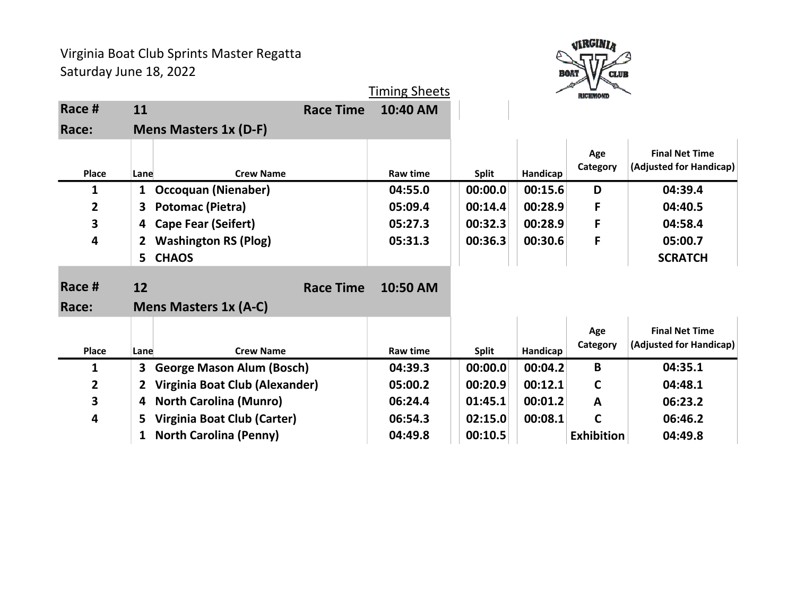

|              |              |                                  |                  | <b>Timing Sheets</b> |              |          | <b>RICHMOND</b>   |                                                  |
|--------------|--------------|----------------------------------|------------------|----------------------|--------------|----------|-------------------|--------------------------------------------------|
| Race #       | 11           |                                  | <b>Race Time</b> | 10:40 AM             |              |          |                   |                                                  |
| Race:        |              | <b>Mens Masters 1x (D-F)</b>     |                  |                      |              |          |                   |                                                  |
| <b>Place</b> | Lane         | <b>Crew Name</b>                 |                  | Raw time             | <b>Split</b> | Handicap | Age<br>Category   | <b>Final Net Time</b><br>(Adjusted for Handicap) |
| 1            | $\mathbf{1}$ | <b>Occoquan (Nienaber)</b>       |                  | 04:55.0              | 00:00.0      | 00:15.6  | D                 | 04:39.4                                          |
| $\mathbf{2}$ | 3.           | Potomac (Pietra)                 |                  | 05:09.4              | 00:14.4      | 00:28.9  | F                 | 04:40.5                                          |
| 3            | 4            | <b>Cape Fear (Seifert)</b>       |                  | 05:27.3              | 00:32.3      | 00:28.9  | F                 | 04:58.4                                          |
| 4            | 2            | <b>Washington RS (Plog)</b>      |                  | 05:31.3              | 00:36.3      | 00:30.6  | F                 | 05:00.7                                          |
|              | 5            | <b>CHAOS</b>                     |                  |                      |              |          |                   | <b>SCRATCH</b>                                   |
| Race #       | 12           |                                  | <b>Race Time</b> | 10:50 AM             |              |          |                   |                                                  |
| Race:        |              | <b>Mens Masters 1x (A-C)</b>     |                  |                      |              |          |                   |                                                  |
| Place        | Lane         | <b>Crew Name</b>                 |                  | Raw time             | <b>Split</b> | Handicap | Age<br>Category   | <b>Final Net Time</b><br>(Adjusted for Handicap) |
| 1            | 3            | <b>George Mason Alum (Bosch)</b> |                  | 04:39.3              | 00:00.0      | 00:04.2  | B                 | 04:35.1                                          |
| $\mathbf{2}$ | $\mathbf{2}$ | Virginia Boat Club (Alexander)   |                  | 05:00.2              | 00:20.9      | 00:12.1  | $\mathsf{C}$      | 04:48.1                                          |
| 3            | 4            | <b>North Carolina (Munro)</b>    |                  | 06:24.4              | 01:45.1      | 00:01.2  | $\mathbf{A}$      | 06:23.2                                          |
| 4            | 5            | Virginia Boat Club (Carter)      |                  | 06:54.3              | 02:15.0      | 00:08.1  | $\mathsf{C}$      | 06:46.2                                          |
|              | 1            | <b>North Carolina (Penny)</b>    |                  | 04:49.8              | 00:10.5      |          | <b>Exhibition</b> | 04:49.8                                          |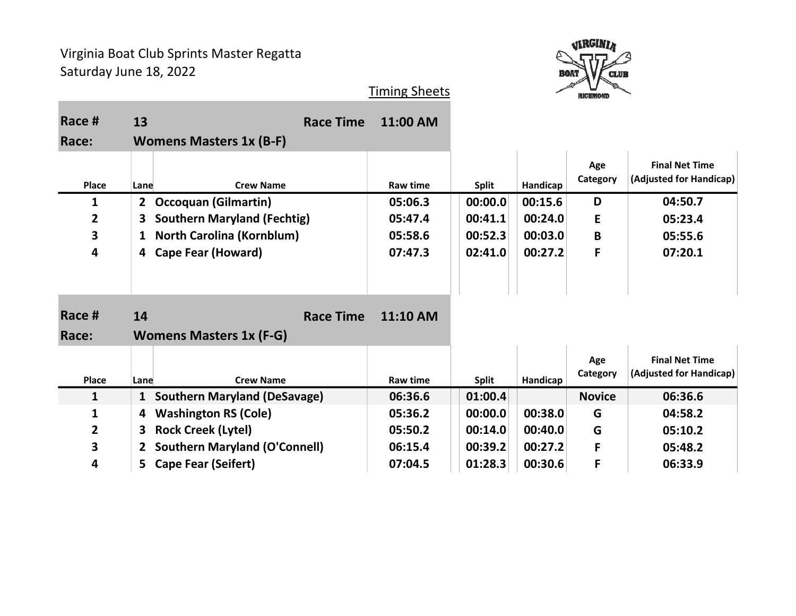

| Race #          | 13                                          | <b>Race Time</b> | 11:00 AM |              |          |                 |                                                  |
|-----------------|---------------------------------------------|------------------|----------|--------------|----------|-----------------|--------------------------------------------------|
| Race:           | <b>Womens Masters 1x (B-F)</b>              |                  |          |              |          |                 |                                                  |
| Place           | <b>Crew Name</b><br>Lane                    |                  | Raw time | <b>Split</b> | Handicap | Age<br>Category | <b>Final Net Time</b><br>(Adjusted for Handicap) |
| 1               | <b>Occoquan (Gilmartin)</b><br>$\mathbf{2}$ |                  | 05:06.3  | 00:00.0      | 00:15.6  | D               | 04:50.7                                          |
| $\mathbf{2}$    | <b>Southern Maryland (Fechtig)</b><br>3.    |                  | 05:47.4  | 00:41.1      | 00:24.0  | E               | 05:23.4                                          |
| 3               | <b>North Carolina (Kornblum)</b><br>1       |                  | 05:58.6  | 00:52.3      | 00:03.0  | B               | 05:55.6                                          |
| 4               | <b>Cape Fear (Howard)</b><br>4              |                  | 07:47.3  | 02:41.0      | 00:27.2  | F               | 07:20.1                                          |
| Race #<br>Race: | 14<br><b>Womens Masters 1x (F-G)</b>        | <b>Race Time</b> | 11:10 AM |              |          |                 |                                                  |
|                 |                                             |                  |          |              |          | Age             | <b>Final Net Time</b>                            |
| Place           | <b>Crew Name</b><br>Lane                    |                  | Raw time | <b>Split</b> | Handicap | Category        | (Adjusted for Handicap)                          |
| $\mathbf{1}$    | 1 Southern Maryland (DeSavage)              |                  | 06:36.6  | 01:00.4      |          | <b>Novice</b>   | 06:36.6                                          |
| 1               | <b>Washington RS (Cole)</b><br>4            |                  | 05:36.2  | 00:00.0      | 00:38.0  | G               | 04:58.2                                          |
| $\mathbf{2}$    | <b>Rock Creek (Lytel)</b><br>3              |                  | 05:50.2  | 00:14.0      | 00:40.0  | G               | 05:10.2                                          |
| 3               | <b>Southern Maryland (O'Connell)</b><br>2   |                  | 06:15.4  | 00:39.2      | 00:27.2  | F               | 05:48.2                                          |
| 4               | 5 Cape Fear (Seifert)                       |                  | 07:04.5  | 01:28.3      | 00:30.6  | F               | 06:33.9                                          |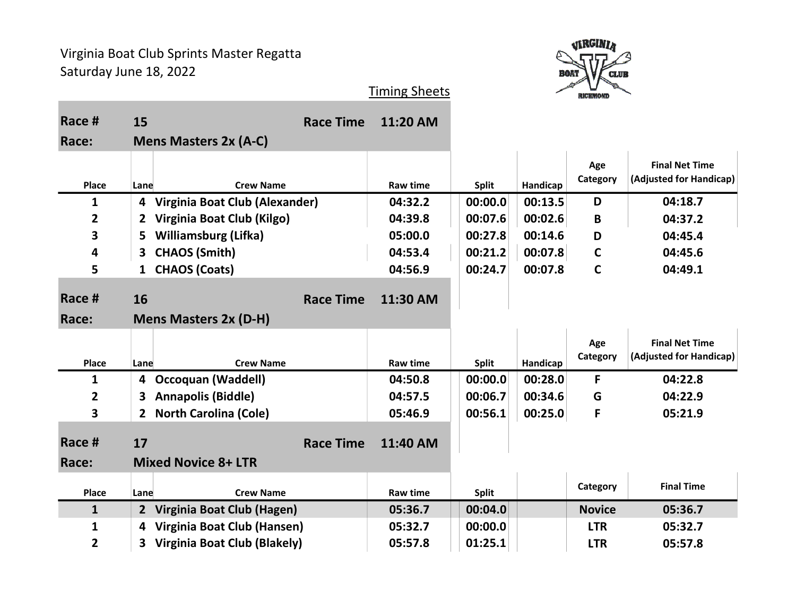

| Race #          | 15             |                                | <b>Race Time</b> | 11:20 AM        |              |          |                 |                                                  |
|-----------------|----------------|--------------------------------|------------------|-----------------|--------------|----------|-----------------|--------------------------------------------------|
| Race:           |                | <b>Mens Masters 2x (A-C)</b>   |                  |                 |              |          |                 |                                                  |
| <b>Place</b>    | Lane           | <b>Crew Name</b>               |                  | <b>Raw time</b> | <b>Split</b> | Handicap | Age<br>Category | <b>Final Net Time</b><br>(Adjusted for Handicap) |
| 1               | 4              | Virginia Boat Club (Alexander) |                  | 04:32.2         | 00:00.0      | 00:13.5  | D               | 04:18.7                                          |
| $\overline{2}$  | $\mathbf{2}$   | Virginia Boat Club (Kilgo)     |                  | 04:39.8         | 00:07.6      | 00:02.6  | B               | 04:37.2                                          |
| 3               | 5.             | <b>Williamsburg (Lifka)</b>    |                  | 05:00.0         | 00:27.8      | 00:14.6  | D               | 04:45.4                                          |
| 4               | 3              | <b>CHAOS (Smith)</b>           |                  | 04:53.4         | 00:21.2      | 00:07.8  | $\mathsf{C}$    | 04:45.6                                          |
| 5               | $\mathbf{1}$   | <b>CHAOS (Coats)</b>           |                  | 04:56.9         | 00:24.7      | 00:07.8  | $\mathbf C$     | 04:49.1                                          |
| Race #<br>Race: | 16             | <b>Mens Masters 2x (D-H)</b>   | <b>Race Time</b> | 11:30 AM        |              |          |                 |                                                  |
|                 |                |                                |                  |                 |              |          |                 |                                                  |
| Place           | Lane           | <b>Crew Name</b>               |                  | <b>Raw time</b> | <b>Split</b> | Handicap | Age<br>Category | <b>Final Net Time</b><br>(Adjusted for Handicap) |
| $\mathbf 1$     | 4              | <b>Occoquan (Waddell)</b>      |                  | 04:50.8         | 00:00.0      | 00:28.0  | F               | 04:22.8                                          |
| $\overline{2}$  | 3.             | <b>Annapolis (Biddle)</b>      |                  | 04:57.5         | 00:06.7      | 00:34.6  | G               | 04:22.9                                          |
| 3               | 2 <sup>1</sup> | <b>North Carolina (Cole)</b>   |                  | 05:46.9         | 00:56.1      | 00:25.0  | F               | 05:21.9                                          |
| Race #          | 17             |                                | <b>Race Time</b> | 11:40 AM        |              |          |                 |                                                  |
| Race:           |                | <b>Mixed Novice 8+ LTR</b>     |                  |                 |              |          |                 |                                                  |
| Place           | Lane           | <b>Crew Name</b>               |                  | <b>Raw time</b> | <b>Split</b> |          | Category        | <b>Final Time</b>                                |
| $\mathbf{1}$    | $2^{\circ}$    | Virginia Boat Club (Hagen)     |                  | 05:36.7         | 00:04.0      |          | <b>Novice</b>   | 05:36.7                                          |
| 1               | 4              | Virginia Boat Club (Hansen)    |                  | 05:32.7         | 00:00.0      |          | <b>LTR</b>      | 05:32.7                                          |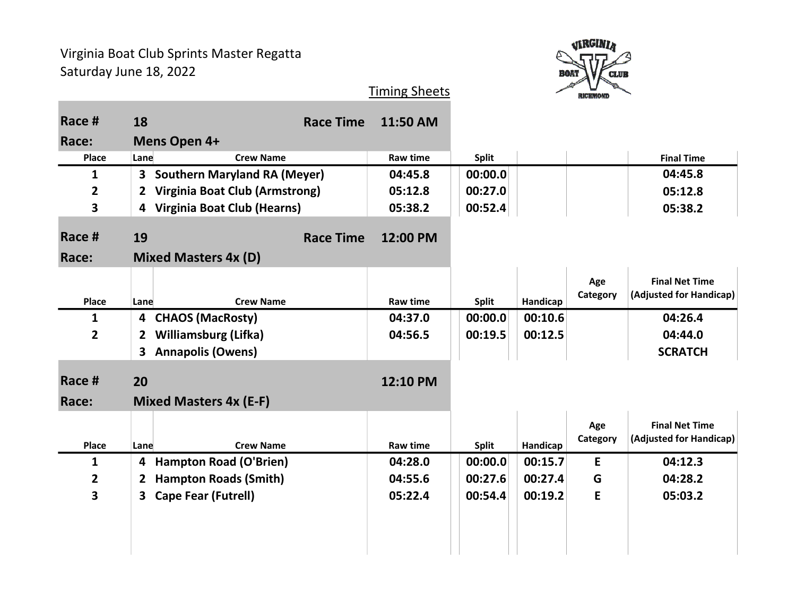

| Race #                  | 18                      | <b>Race Time</b>                   | 11:50 AM        |              |          |                 |                                                  |
|-------------------------|-------------------------|------------------------------------|-----------------|--------------|----------|-----------------|--------------------------------------------------|
| Race:                   |                         | Mens Open 4+                       |                 |              |          |                 |                                                  |
| Place                   | Lane                    | <b>Crew Name</b>                   | Raw time        | <b>Split</b> |          |                 | <b>Final Time</b>                                |
| $\mathbf{1}$            |                         | 3 Southern Maryland RA (Meyer)     | 04:45.8         | 00:00.0      |          |                 | 04:45.8                                          |
| $\overline{\mathbf{2}}$ | $\overline{2}$          | Virginia Boat Club (Armstrong)     | 05:12.8         | 00:27.0      |          |                 | 05:12.8                                          |
| 3                       | $\overline{\mathbf{4}}$ | <b>Virginia Boat Club (Hearns)</b> | 05:38.2         | 00:52.4      |          |                 | 05:38.2                                          |
| Race #                  | 19                      | <b>Race Time</b>                   | 12:00 PM        |              |          |                 |                                                  |
| Race:                   |                         | <b>Mixed Masters 4x (D)</b>        |                 |              |          |                 |                                                  |
|                         |                         |                                    |                 |              |          | Age<br>Category | <b>Final Net Time</b><br>(Adjusted for Handicap) |
| Place                   | Lane                    | <b>Crew Name</b>                   | <b>Raw time</b> | <b>Split</b> | Handicap |                 |                                                  |
| $\mathbf{1}$            | 4                       | <b>CHAOS (MacRosty)</b>            | 04:37.0         | 00:00.0      | 00:10.6  |                 | 04:26.4                                          |
| $\overline{2}$          | $\mathbf{2}$            | <b>Williamsburg (Lifka)</b>        | 04:56.5         | 00:19.5      | 00:12.5  |                 | 04:44.0                                          |
|                         | 3                       | <b>Annapolis (Owens)</b>           |                 |              |          |                 | <b>SCRATCH</b>                                   |
|                         |                         |                                    |                 |              |          |                 |                                                  |
| Race #                  | 20                      |                                    | 12:10 PM        |              |          |                 |                                                  |
| Race:                   |                         | <b>Mixed Masters 4x (E-F)</b>      |                 |              |          |                 |                                                  |
|                         |                         |                                    |                 |              |          | Age             | <b>Final Net Time</b>                            |
| Place                   | Lane                    | <b>Crew Name</b>                   | Raw time        | <b>Split</b> | Handicap | Category        | (Adjusted for Handicap)                          |
| $\mathbf{1}$            | 4                       | <b>Hampton Road (O'Brien)</b>      | 04:28.0         | 00:00.0      | 00:15.7  | E               | 04:12.3                                          |
| $\overline{2}$          | 2                       | <b>Hampton Roads (Smith)</b>       | 04:55.6         | 00:27.6      | 00:27.4  | G               | 04:28.2                                          |
| 3                       | 3                       | <b>Cape Fear (Futrell)</b>         | 05:22.4         | 00:54.4      | 00:19.2  | E               | 05:03.2                                          |
|                         |                         |                                    |                 |              |          |                 |                                                  |
|                         |                         |                                    |                 |              |          |                 |                                                  |
|                         |                         |                                    |                 |              |          |                 |                                                  |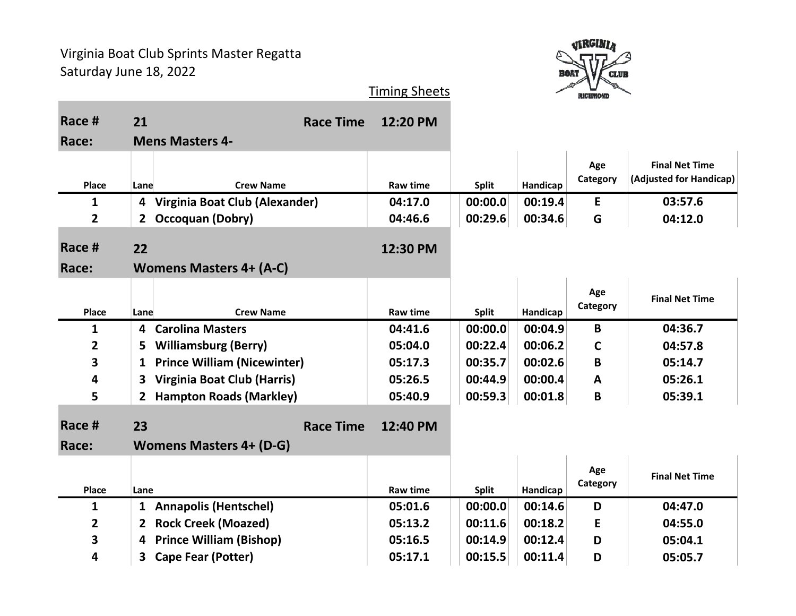

| Race #          | 21                                             | <b>Race Time</b> | 12:20 PM        |              |          |                 |                                                  |
|-----------------|------------------------------------------------|------------------|-----------------|--------------|----------|-----------------|--------------------------------------------------|
| Race:           | <b>Mens Masters 4-</b>                         |                  |                 |              |          |                 |                                                  |
| Place           | <b>Crew Name</b><br>Lane                       |                  | <b>Raw time</b> | <b>Split</b> | Handicap | Age<br>Category | <b>Final Net Time</b><br>(Adjusted for Handicap) |
| $\mathbf{1}$    | 4 Virginia Boat Club (Alexander)               |                  | 04:17.0         | 00:00.0      | 00:19.4  | E               | 03:57.6                                          |
| $\overline{2}$  | 2 <sup>1</sup><br><b>Occoquan (Dobry)</b>      |                  | 04:46.6         | 00:29.6      | 00:34.6  | G               | 04:12.0                                          |
| Race #<br>Race: | 22<br><b>Womens Masters 4+ (A-C)</b>           |                  | 12:30 PM        |              |          |                 |                                                  |
| Place           | <b>Crew Name</b><br>Lane                       |                  | <b>Raw time</b> | <b>Split</b> | Handicap | Age<br>Category | <b>Final Net Time</b>                            |
| $\mathbf{1}$    | <b>Carolina Masters</b><br>4                   |                  | 04:41.6         | 00:00.0      | 00:04.9  | B               | 04:36.7                                          |
| $\overline{2}$  | <b>Williamsburg (Berry)</b><br>5               |                  | 05:04.0         | 00:22.4      | 00:06.2  | $\mathbf C$     | 04:57.8                                          |
| 3               | <b>Prince William (Nicewinter)</b><br>1        |                  | 05:17.3         | 00:35.7      | 00:02.6  | B               | 05:14.7                                          |
| 4               | Virginia Boat Club (Harris)<br>3               |                  | 05:26.5         | 00:44.9      | 00:00.4  | A               | 05:26.1                                          |
| 5               | <b>Hampton Roads (Markley)</b><br>$\mathbf{2}$ |                  | 05:40.9         | 00:59.3      | 00:01.8  | B               | 05:39.1                                          |
| Race #          | 23                                             | <b>Race Time</b> | 12:40 PM        |              |          |                 |                                                  |
| Race:           | <b>Womens Masters 4+ (D-G)</b>                 |                  |                 |              |          |                 |                                                  |
| Place           | Lane                                           |                  | Raw time        | <b>Split</b> | Handicap | Age<br>Category | <b>Final Net Time</b>                            |
| $\mathbf{1}$    | <b>Annapolis (Hentschel)</b><br>$\mathbf{1}$   |                  | 05:01.6         | 00:00.0      | 00:14.6  | D               | 04:47.0                                          |
| 2               | <b>Rock Creek (Moazed)</b><br>2                |                  | 05:13.2         | 00:11.6      | 00:18.2  | Е               | 04:55.0                                          |
| 3               | <b>Prince William (Bishop)</b><br>4            |                  | 05:16.5         | 00:14.9      | 00:12.4  | D               | 05:04.1                                          |
| 4               | <b>Cape Fear (Potter)</b><br>3                 |                  | 05:17.1         | 00:15.5      | 00:11.4  | D               | 05:05.7                                          |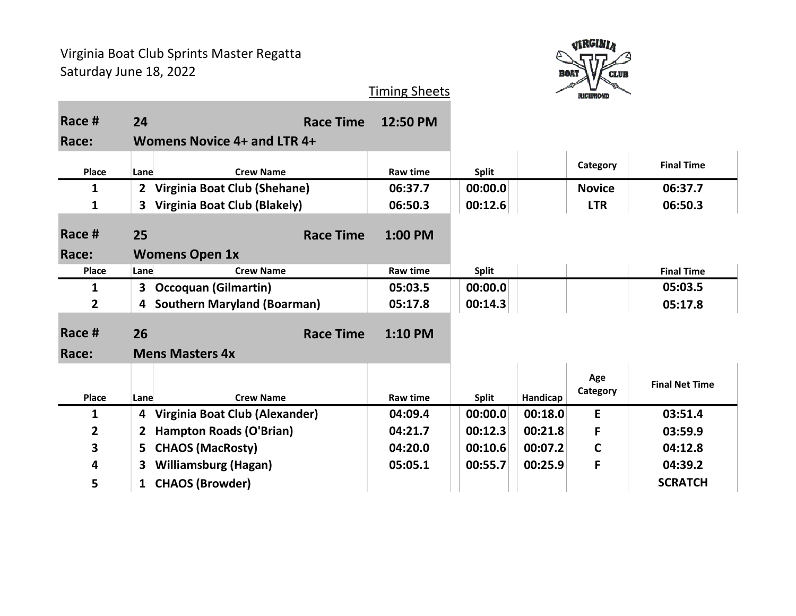

| Race #          | 24           | <b>Race Time</b>                           | 12:50 PM        |              |          |                 |                       |
|-----------------|--------------|--------------------------------------------|-----------------|--------------|----------|-----------------|-----------------------|
| Race:           |              | <b>Womens Novice 4+ and LTR 4+</b>         |                 |              |          |                 |                       |
| Place           | Lane         | <b>Crew Name</b>                           | Raw time        | <b>Split</b> |          | Category        | <b>Final Time</b>     |
| 1               | $\mathbf{2}$ | Virginia Boat Club (Shehane)               | 06:37.7         | 00:00.0      |          | <b>Novice</b>   | 06:37.7               |
| 1               | 3            | <b>Virginia Boat Club (Blakely)</b>        | 06:50.3         | 00:12.6      |          | <b>LTR</b>      | 06:50.3               |
| Race #          | 25           | <b>Race Time</b>                           | 1:00 PM         |              |          |                 |                       |
| Race:           |              | <b>Womens Open 1x</b>                      |                 |              |          |                 |                       |
| <b>Place</b>    | Lane         | <b>Crew Name</b>                           | <b>Raw time</b> | <b>Split</b> |          |                 | <b>Final Time</b>     |
| 1               | 3            | <b>Occoquan (Gilmartin)</b>                | 05:03.5         | 00:00.0      |          |                 | 05:03.5               |
| $\mathbf{2}$    | 4            | <b>Southern Maryland (Boarman)</b>         | 05:17.8         | 00:14.3      |          |                 | 05:17.8               |
| Race #<br>Race: | 26           | <b>Race Time</b><br><b>Mens Masters 4x</b> | $1:10$ PM       |              |          |                 |                       |
| <b>Place</b>    | Lane         | <b>Crew Name</b>                           | <b>Raw time</b> | <b>Split</b> | Handicap | Age<br>Category | <b>Final Net Time</b> |
| $\mathbf{1}$    | 4            | Virginia Boat Club (Alexander)             | 04:09.4         | 00:00.0      | 00:18.0  | E               | 03:51.4               |
| $\mathbf{2}$    | $\mathbf{2}$ | <b>Hampton Roads (O'Brian)</b>             | 04:21.7         | 00:12.3      | 00:21.8  | F               | 03:59.9               |
| 3               | 5            | <b>CHAOS (MacRosty)</b>                    | 04:20.0         | 00:10.6      | 00:07.2  | $\mathsf{C}$    | 04:12.8               |
| 4               | 3            | <b>Williamsburg (Hagan)</b>                | 05:05.1         | 00:55.7      | 00:25.9  | F               | 04:39.2               |
| 5               | $\mathbf{1}$ | <b>CHAOS (Browder)</b>                     |                 |              |          |                 | <b>SCRATCH</b>        |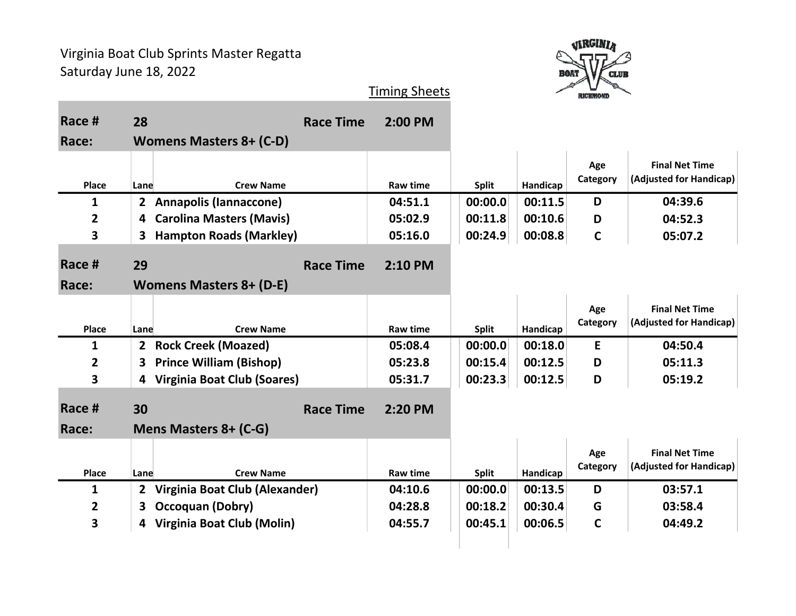

| Race #         | 28                                            | <b>Race Time</b> | $2:00$ PM       |              |          |                 |                                                  |
|----------------|-----------------------------------------------|------------------|-----------------|--------------|----------|-----------------|--------------------------------------------------|
| Race:          | <b>Womens Masters 8+ (C-D)</b>                |                  |                 |              |          |                 |                                                  |
| Place          | <b>Crew Name</b><br>Lane                      |                  | <b>Raw time</b> | <b>Split</b> | Handicap | Age<br>Category | <b>Final Net Time</b><br>(Adjusted for Handicap) |
| 1              | <b>Annapolis (Iannaccone)</b><br>$\mathbf{2}$ |                  | 04:51.1         | 00:00.0      | 00:11.5  | D               | 04:39.6                                          |
| $\overline{2}$ | <b>Carolina Masters (Mavis)</b><br>4          |                  | 05:02.9         | 00:11.8      | 00:10.6  | D               | 04:52.3                                          |
| 3              | <b>Hampton Roads (Markley)</b><br>3.          |                  | 05:16.0         | 00:24.9      | 00:08.8  | $\mathsf{C}$    | 05:07.2                                          |
| Race #         | 29                                            | <b>Race Time</b> | 2:10 PM         |              |          |                 |                                                  |
| Race:          | <b>Womens Masters 8+ (D-E)</b>                |                  |                 |              |          |                 |                                                  |
| Place          | <b>Crew Name</b><br>Lane                      |                  | Raw time        | <b>Split</b> | Handicap | Age<br>Category | <b>Final Net Time</b><br>(Adjusted for Handicap) |
| $\mathbf{1}$   | <b>Rock Creek (Moazed)</b><br>$\mathbf{2}$    |                  | 05:08.4         | 00:00.0      | 00:18.0  | E               | 04:50.4                                          |
| 2              | <b>Prince William (Bishop)</b><br>3           |                  | 05:23.8         | 00:15.4      | 00:12.5  | D               | 05:11.3                                          |
| 3              | <b>Virginia Boat Club (Soares)</b><br>4       |                  | 05:31.7         | 00:23.3      | 00:12.5  | D               | 05:19.2                                          |
| Race #         | 30                                            | <b>Race Time</b> | 2:20 PM         |              |          |                 |                                                  |
| Race:          | Mens Masters 8+ (C-G)                         |                  |                 |              |          |                 |                                                  |
| Place          | <b>Crew Name</b><br>Lane                      |                  | <b>Raw time</b> | <b>Split</b> | Handicap | Age<br>Category | <b>Final Net Time</b><br>(Adjusted for Handicap) |
| $\mathbf{1}$   | Virginia Boat Club (Alexander)<br>2           |                  | 04:10.6         | 00:00.0      | 00:13.5  | D               | 03:57.1                                          |
| $\mathbf{2}$   | <b>Occoquan (Dobry)</b><br>З                  |                  | 04:28.8         | 00:18.2      | 00:30.4  | G               | 03:58.4                                          |
| 3              | Virginia Boat Club (Molin)<br>4               |                  | 04:55.7         | 00:45.1      | 00:06.5  | $\mathsf{C}$    | 04:49.2                                          |
|                |                                               |                  |                 |              |          |                 |                                                  |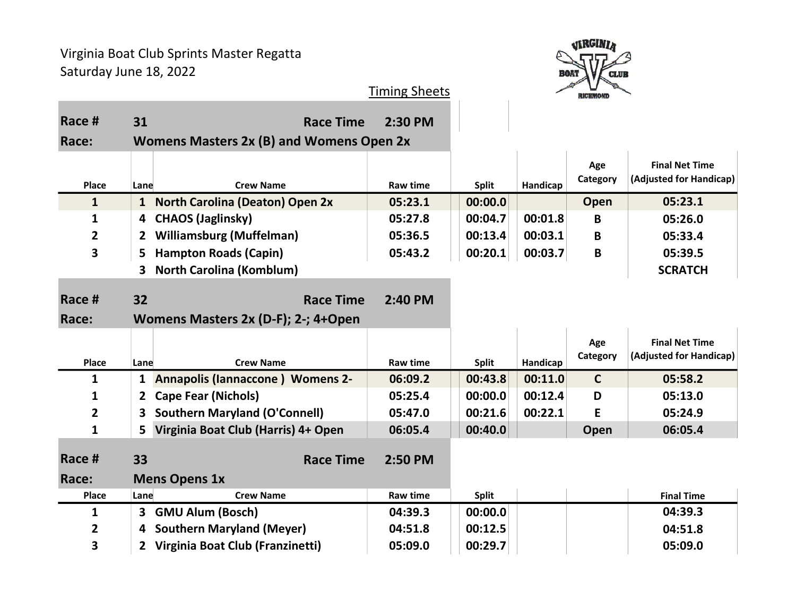

| Race #                  | 31                                              | <b>Race Time</b>                                        | 2:30 PM         |              |          |                 |                                                  |
|-------------------------|-------------------------------------------------|---------------------------------------------------------|-----------------|--------------|----------|-----------------|--------------------------------------------------|
| Race:                   | <b>Womens Masters 2x (B) and Womens Open 2x</b> |                                                         |                 |              |          |                 |                                                  |
| Place                   | Lane                                            | <b>Crew Name</b>                                        | <b>Raw time</b> | <b>Split</b> | Handicap | Age<br>Category | <b>Final Net Time</b><br>(Adjusted for Handicap) |
| $\mathbf{1}$            |                                                 | 1 North Carolina (Deaton) Open 2x                       | 05:23.1         | 00:00.0      |          | Open            | 05:23.1                                          |
| $\mathbf{1}$            | 4                                               | <b>CHAOS (Jaglinsky)</b>                                | 05:27.8         | 00:04.7      | 00:01.8  | B               | 05:26.0                                          |
| $\overline{2}$          | 2                                               | <b>Williamsburg (Muffelman)</b>                         | 05:36.5         | 00:13.4      | 00:03.1  | B               | 05:33.4                                          |
| 3                       | 5                                               | <b>Hampton Roads (Capin)</b>                            | 05:43.2         | 00:20.1      | 00:03.7  | $\mathbf B$     | 05:39.5                                          |
|                         | 3                                               | <b>North Carolina (Komblum)</b>                         |                 |              |          |                 | <b>SCRATCH</b>                                   |
| Race #<br>Race:         | 32                                              | <b>Race Time</b><br>Womens Masters 2x (D-F); 2-; 4+Open | 2:40 PM         |              |          |                 |                                                  |
|                         |                                                 |                                                         |                 |              |          |                 |                                                  |
| Place                   | Lane                                            | <b>Crew Name</b>                                        | <b>Raw time</b> | <b>Split</b> | Handicap | Age<br>Category | <b>Final Net Time</b><br>(Adjusted for Handicap) |
| 1                       | 1                                               | <b>Annapolis (Iannaccone) Womens 2-</b>                 | 06:09.2         | 00:43.8      | 00:11.0  | $\mathbf C$     | 05:58.2                                          |
| $\mathbf{1}$            | 2                                               | <b>Cape Fear (Nichols)</b>                              | 05:25.4         | 00:00.0      | 00:12.4  | D               | 05:13.0                                          |
| $\overline{2}$          | 3                                               | <b>Southern Maryland (O'Connell)</b>                    | 05:47.0         | 00:21.6      | 00:22.1  | E               | 05:24.9                                          |
| 1                       | 5.                                              | Virginia Boat Club (Harris) 4+ Open                     | 06:05.4         | 00:40.0      |          | Open            | 06:05.4                                          |
| Race #<br>Race:         | 33                                              | <b>Race Time</b>                                        | 2:50 PM         |              |          |                 |                                                  |
| <b>Place</b>            | Lane                                            | <b>Mens Opens 1x</b><br><b>Crew Name</b>                | <b>Raw time</b> | <b>Split</b> |          |                 | <b>Final Time</b>                                |
| $\mathbf{1}$            | 3                                               | <b>GMU Alum (Bosch)</b>                                 | 04:39.3         | 00:00.0      |          |                 | 04:39.3                                          |
| $\overline{\mathbf{2}}$ | 4                                               | <b>Southern Maryland (Meyer)</b>                        | 04:51.8         | 00:12.5      |          |                 | 04:51.8                                          |